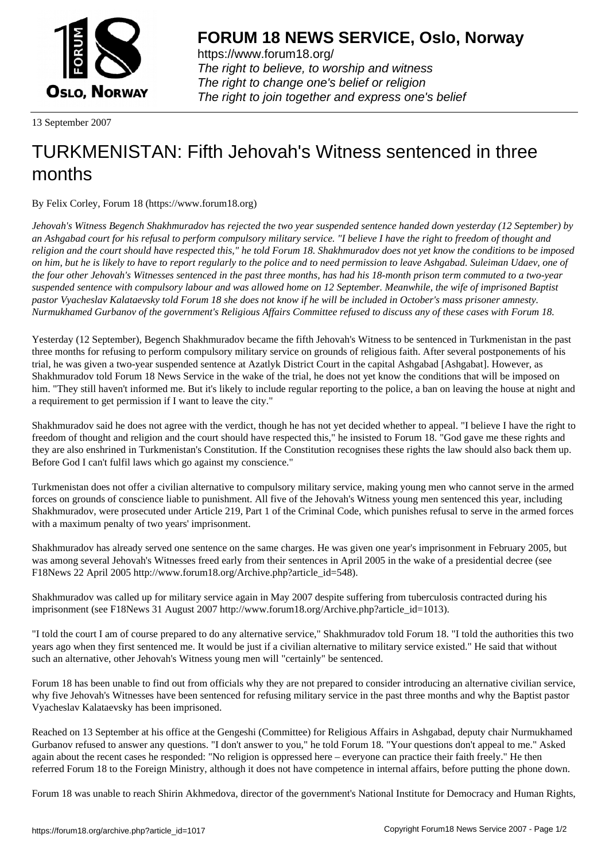

https://www.forum18.org/ The right to believe, to worship and witness The right to change one's belief or religion [The right to join together a](https://www.forum18.org/)nd express one's belief

13 September 2007

## [TURKMENISTA](https://www.forum18.org)N: Fifth Jehovah's Witness sentenced in three months

By Felix Corley, Forum 18 (https://www.forum18.org)

*Jehovah's Witness Begench Shakhmuradov has rejected the two year suspended sentence handed down yesterday (12 September) by an Ashgabad court for his refusal to perform compulsory military service. "I believe I have the right to freedom of thought and religion and the court should have respected this," he told Forum 18. Shakhmuradov does not yet know the conditions to be imposed on him, but he is likely to have to report regularly to the police and to need permission to leave Ashgabad. Suleiman Udaev, one of the four other Jehovah's Witnesses sentenced in the past three months, has had his 18-month prison term commuted to a two-year suspended sentence with compulsory labour and was allowed home on 12 September. Meanwhile, the wife of imprisoned Baptist pastor Vyacheslav Kalataevsky told Forum 18 she does not know if he will be included in October's mass prisoner amnesty. Nurmukhamed Gurbanov of the government's Religious Affairs Committee refused to discuss any of these cases with Forum 18.*

Yesterday (12 September), Begench Shakhmuradov became the fifth Jehovah's Witness to be sentenced in Turkmenistan in the past three months for refusing to perform compulsory military service on grounds of religious faith. After several postponements of his trial, he was given a two-year suspended sentence at Azatlyk District Court in the capital Ashgabad [Ashgabat]. However, as Shakhmuradov told Forum 18 News Service in the wake of the trial, he does not yet know the conditions that will be imposed on him. "They still haven't informed me. But it's likely to include regular reporting to the police, a ban on leaving the house at night and a requirement to get permission if I want to leave the city."

Shakhmuradov said he does not agree with the verdict, though he has not yet decided whether to appeal. "I believe I have the right to freedom of thought and religion and the court should have respected this," he insisted to Forum 18. "God gave me these rights and they are also enshrined in Turkmenistan's Constitution. If the Constitution recognises these rights the law should also back them up. Before God I can't fulfil laws which go against my conscience."

Turkmenistan does not offer a civilian alternative to compulsory military service, making young men who cannot serve in the armed forces on grounds of conscience liable to punishment. All five of the Jehovah's Witness young men sentenced this year, including Shakhmuradov, were prosecuted under Article 219, Part 1 of the Criminal Code, which punishes refusal to serve in the armed forces with a maximum penalty of two years' imprisonment.

Shakhmuradov has already served one sentence on the same charges. He was given one year's imprisonment in February 2005, but was among several Jehovah's Witnesses freed early from their sentences in April 2005 in the wake of a presidential decree (see F18News 22 April 2005 http://www.forum18.org/Archive.php?article\_id=548).

Shakhmuradov was called up for military service again in May 2007 despite suffering from tuberculosis contracted during his imprisonment (see F18News 31 August 2007 http://www.forum18.org/Archive.php?article\_id=1013).

"I told the court I am of course prepared to do any alternative service," Shakhmuradov told Forum 18. "I told the authorities this two years ago when they first sentenced me. It would be just if a civilian alternative to military service existed." He said that without such an alternative, other Jehovah's Witness young men will "certainly" be sentenced.

Forum 18 has been unable to find out from officials why they are not prepared to consider introducing an alternative civilian service, why five Jehovah's Witnesses have been sentenced for refusing military service in the past three months and why the Baptist pastor Vyacheslav Kalataevsky has been imprisoned.

Reached on 13 September at his office at the Gengeshi (Committee) for Religious Affairs in Ashgabad, deputy chair Nurmukhamed Gurbanov refused to answer any questions. "I don't answer to you," he told Forum 18. "Your questions don't appeal to me." Asked again about the recent cases he responded: "No religion is oppressed here – everyone can practice their faith freely." He then referred Forum 18 to the Foreign Ministry, although it does not have competence in internal affairs, before putting the phone down.

Forum 18 was unable to reach Shirin Akhmedova, director of the government's National Institute for Democracy and Human Rights,